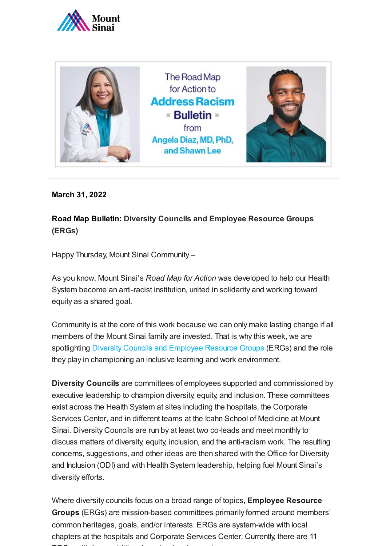



**March 31, 2022**

**Road Map Bulletin: Diversity Councils and Employee Resource Groups (ERGs)**

Happy Thursday, Mount Sinai Community –

As you know, Mount Sinai's *Road Map for Action* was developed to help our Health System become an anti-racist institution, united in solidarity and working toward equity as a shared goal.

Community is at the core of this work because we can only make lasting change if all members of the Mount Sinai family are invested. That is why this week, we are spotlighting [Diversity Councils and Employee Resource Groups](https://www.mountsinai.org/about/odi/councils) (ERGs) and the role they play in championing an inclusive learning and work environment.

**Diversity Councils** are committees of employees supported and commissioned by executive leadership to champion diversity, equity, and inclusion. These committees exist across the Health System at sites including the hospitals, the Corporate Services Center, and in different teams at the Icahn School of Medicine at Mount Sinai. Diversity Councils are run by at least two co-leads and meet monthly to discuss matters of diversity, equity, inclusion, and the anti-racism work. The resulting concerns, suggestions, and other ideas are then shared with the Office for Diversity and Inclusion (ODI) and with Health System leadership, helping fuel Mount Sinai's diversity efforts.

Where diversity councils focus on a broad range of topics, **Employee Resource Groups** (ERGs) are mission-based committees primarily formed around members' common heritages, goals, and/or interests. ERGs are system-wide with local chapters at the hospitals and Corporate Services Center. Currently, there are 11  $\blacksquare$   $\blacksquare$   $\blacksquare$   $\blacksquare$   $\blacksquare$   $\blacksquare$   $\blacksquare$   $\blacksquare$   $\blacksquare$   $\blacksquare$   $\blacksquare$   $\blacksquare$   $\blacksquare$   $\blacksquare$   $\blacksquare$   $\blacksquare$   $\blacksquare$   $\blacksquare$   $\blacksquare$   $\blacksquare$   $\blacksquare$   $\blacksquare$   $\blacksquare$   $\blacksquare$   $\blacksquare$   $\blacksquare$   $\blacksquare$   $\blacksquare$   $\blacksquare$   $\blacksquare$   $\blacksquare$   $\blacks$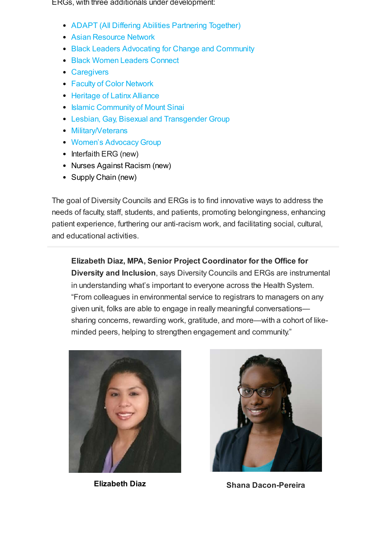ERGs, with three additionals under development:

- [ADAPT \(All Differing Abilities Partnering Together\)](https://forms.gle/BNfJNpkZfhhEZjFT6)
- [Asian Resource Network](https://forms.gle/1WDMNo7k4VNg7gzw6)
- [Black Leaders Advocating for Change and Community](https://forms.gle/2eyqDBaycDw3J2TV7)
- [Black Women Leaders Connect](http://womenconnect.mountsinai.org/)
- [Caregivers](https://forms.gle/CGWXnNqAMWUaQwRa7)
- [Faculty of Color Network](mailto:diversity@mountsinai.org)
- [Heritage of Latinx Alliance](https://forms.gle/nC5GDz37Ncd25uBQ7)
- [Islamic Community of Mount Sinai](https://forms.gle/xJuqxSLcSnE3XWCH7)
- [Lesbian, Gay, Bisexual and Transgender Group](https://forms.gle/KxDuZru8dgfrFjPN9)
- [Military/Veterans](https://forms.gle/tsUFpdPxGxJFHb8A8)
- [Women's Advocacy Group](https://forms.gle/ripH3KSxgBsskqsa7)
- Interfaith ERG (new)
- Nurses Against Racism (new)
- Supply Chain (new)

The goal of Diversity Councils and ERGs is to find innovative ways to address the needs of faculty, staff, students, and patients, promoting belongingness, enhancing patient experience, furthering our anti-racism work, and facilitating social, cultural, and educational activities.

**Elizabeth Diaz, MPA, Senior Project Coordinator for the Office for**

**Diversity and Inclusion**, says Diversity Councils and ERGs are instrumental in understanding what's important to everyone across the Health System. "From colleagues in environmental service to registrars to managers on any given unit, folks are able to engage in really meaningful conversations sharing concerns, rewarding work, gratitude, and more—with a cohort of likeminded peers, helping to strengthen engagement and community."





**Elizabeth Diaz Shana Dacon-Pereira**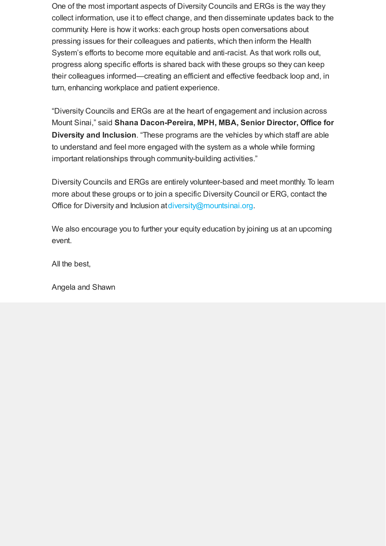One of the most important aspects of Diversity Councils and ERGs is the way they collect information, use it to effect change, and then disseminate updates back to the community. Here is how it works: each group hosts open conversations about pressing issues for their colleagues and patients, which then inform the Health System's efforts to become more equitable and anti-racist. As that work rolls out, progress along specific efforts is shared back with these groups so they can keep their colleagues informed—creating an efficient and effective feedback loop and, in turn, enhancing workplace and patient experience.

"Diversity Councils and ERGs are at the heart of engagement and inclusion across Mount Sinai," said **Shana Dacon-Pereira, MPH, MBA, Senior Director, Office for Diversity and Inclusion**. "These programs are the vehicles by which staff are able to understand and feel more engaged with the system as a whole while forming important relationships through community-building activities."

Diversity Councils and ERGs are entirely volunteer-based and meet monthly. To learn more about these groups or to join a specific Diversity Council or ERG, contact the Office for Diversity and Inclusion at [diversity@mountsinai.org.](mailto:diversity@mountsinai.org)

We also encourage you to further your equity education by joining us at an upcoming event.

All the best,

Angela and Shawn